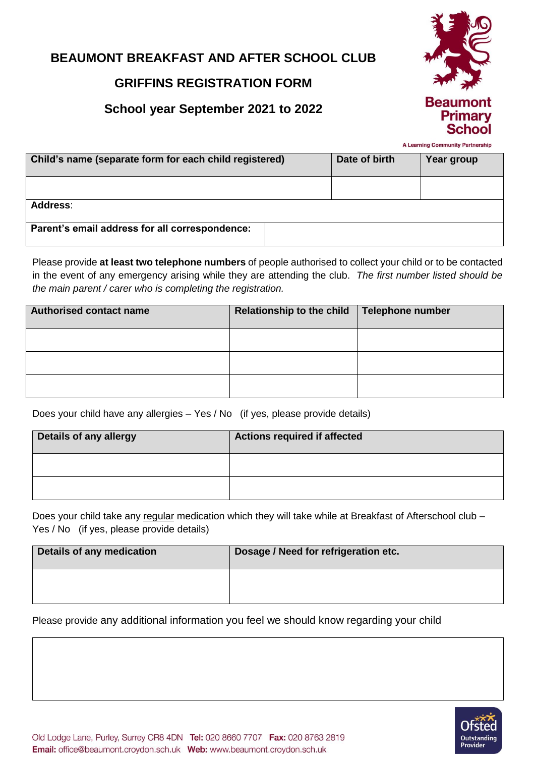# **BEAUMONT BREAKFAST AND AFTER SCHOOL CLUB**

# **GRIFFINS REGISTRATION FORM**

# **School year September 2021 to 2022**



A Learning Community Partnership

| Child's name (separate form for each child registered) |  | Date of birth | Year group |  |
|--------------------------------------------------------|--|---------------|------------|--|
|                                                        |  |               |            |  |
| Address:                                               |  |               |            |  |
| Parent's email address for all correspondence:         |  |               |            |  |

Please provide **at least two telephone numbers** of people authorised to collect your child or to be contacted in the event of any emergency arising while they are attending the club. *The first number listed should be the main parent / carer who is completing the registration.*

| <b>Authorised contact name</b> | <b>Relationship to the child</b> | <b>Telephone number</b> |
|--------------------------------|----------------------------------|-------------------------|
|                                |                                  |                         |
|                                |                                  |                         |
|                                |                                  |                         |

Does your child have any allergies – Yes / No (if yes, please provide details)

| <b>Details of any allergy</b> | <b>Actions required if affected</b> |
|-------------------------------|-------------------------------------|
|                               |                                     |
|                               |                                     |

Does your child take any regular medication which they will take while at Breakfast of Afterschool club – Yes / No (if yes, please provide details)

| Details of any medication | Dosage / Need for refrigeration etc. |
|---------------------------|--------------------------------------|
|                           |                                      |

Please provide any additional information you feel we should know regarding your child

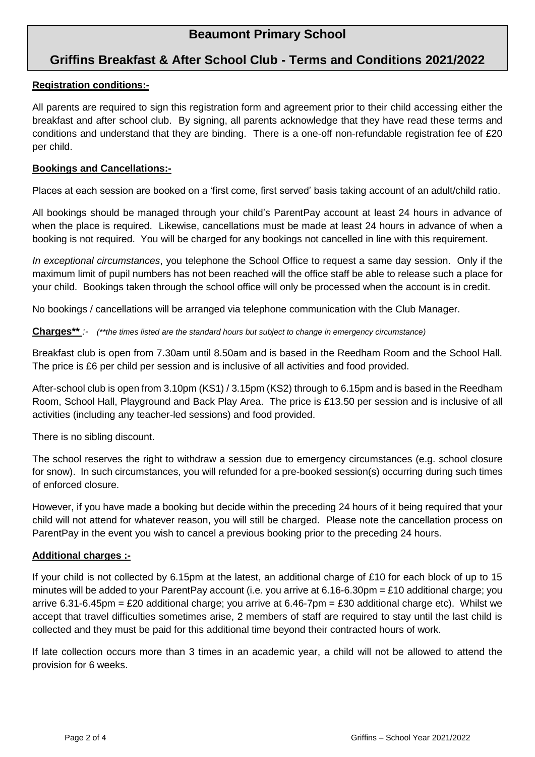# **Beaumont Primary School**

# **Griffins Breakfast & After School Club - Terms and Conditions 2021/2022**

## **Registration conditions:-**

All parents are required to sign this registration form and agreement prior to their child accessing either the breakfast and after school club. By signing, all parents acknowledge that they have read these terms and conditions and understand that they are binding. There is a one-off non-refundable registration fee of £20 per child.

#### **Bookings and Cancellations:-**

Places at each session are booked on a 'first come, first served' basis taking account of an adult/child ratio.

All bookings should be managed through your child's ParentPay account at least 24 hours in advance of when the place is required. Likewise, cancellations must be made at least 24 hours in advance of when a booking is not required. You will be charged for any bookings not cancelled in line with this requirement.

*In exceptional circumstances*, you telephone the School Office to request a same day session. Only if the maximum limit of pupil numbers has not been reached will the office staff be able to release such a place for your child. Bookings taken through the school office will only be processed when the account is in credit.

No bookings / cancellations will be arranged via telephone communication with the Club Manager.

#### **Charges\*\*** *:- (\*\*the times listed are the standard hours but subject to change in emergency circumstance)*

Breakfast club is open from 7.30am until 8.50am and is based in the Reedham Room and the School Hall. The price is £6 per child per session and is inclusive of all activities and food provided.

After-school club is open from 3.10pm (KS1) / 3.15pm (KS2) through to 6.15pm and is based in the Reedham Room, School Hall, Playground and Back Play Area. The price is £13.50 per session and is inclusive of all activities (including any teacher-led sessions) and food provided.

There is no sibling discount.

The school reserves the right to withdraw a session due to emergency circumstances (e.g. school closure for snow). In such circumstances, you will refunded for a pre-booked session(s) occurring during such times of enforced closure.

However, if you have made a booking but decide within the preceding 24 hours of it being required that your child will not attend for whatever reason, you will still be charged. Please note the cancellation process on ParentPay in the event you wish to cancel a previous booking prior to the preceding 24 hours.

## **Additional charges :-**

If your child is not collected by 6.15pm at the latest, an additional charge of £10 for each block of up to 15 minutes will be added to your ParentPay account (i.e. you arrive at 6.16-6.30pm = £10 additional charge; you arrive 6.31-6.45pm = £20 additional charge; you arrive at 6.46-7pm = £30 additional charge etc). Whilst we accept that travel difficulties sometimes arise, 2 members of staff are required to stay until the last child is collected and they must be paid for this additional time beyond their contracted hours of work.

If late collection occurs more than 3 times in an academic year, a child will not be allowed to attend the provision for 6 weeks.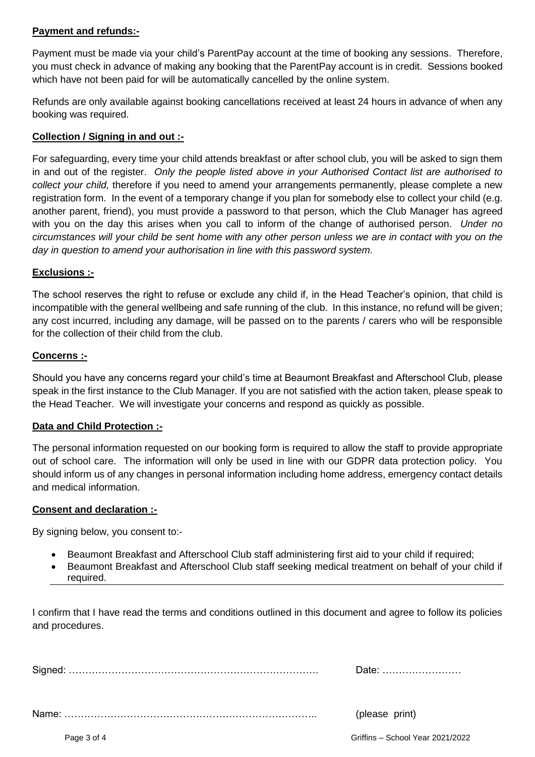## **Payment and refunds:-**

Payment must be made via your child's ParentPay account at the time of booking any sessions. Therefore, you must check in advance of making any booking that the ParentPay account is in credit. Sessions booked which have not been paid for will be automatically cancelled by the online system.

Refunds are only available against booking cancellations received at least 24 hours in advance of when any booking was required.

## **Collection / Signing in and out :-**

For safeguarding, every time your child attends breakfast or after school club, you will be asked to sign them in and out of the register. *Only the people listed above in your Authorised Contact list are authorised to collect your child,* therefore if you need to amend your arrangements permanently, please complete a new registration form. In the event of a temporary change if you plan for somebody else to collect your child (e.g. another parent, friend), you must provide a password to that person, which the Club Manager has agreed with you on the day this arises when you call to inform of the change of authorised person. *Under no circumstances will your child be sent home with any other person unless we are in contact with you on the day in question to amend your authorisation in line with this password system.* 

## **Exclusions :-**

The school reserves the right to refuse or exclude any child if, in the Head Teacher's opinion, that child is incompatible with the general wellbeing and safe running of the club. In this instance, no refund will be given; any cost incurred, including any damage, will be passed on to the parents / carers who will be responsible for the collection of their child from the club.

#### **Concerns :-**

Should you have any concerns regard your child's time at Beaumont Breakfast and Afterschool Club, please speak in the first instance to the Club Manager. If you are not satisfied with the action taken, please speak to the Head Teacher. We will investigate your concerns and respond as quickly as possible.

## **Data and Child Protection :-**

The personal information requested on our booking form is required to allow the staff to provide appropriate out of school care. The information will only be used in line with our GDPR data protection policy. You should inform us of any changes in personal information including home address, emergency contact details and medical information.

#### **Consent and declaration :-**

By signing below, you consent to:-

- Beaumont Breakfast and Afterschool Club staff administering first aid to your child if required;
- Beaumont Breakfast and Afterschool Club staff seeking medical treatment on behalf of your child if required.

I confirm that I have read the terms and conditions outlined in this document and agree to follow its policies and procedures.

Signed: …………………………………………………………………. Date: ……………………

Name: ………………………………………………………………….. (please print)

Page 3 of 4 Griffins – School Year 2021/2022